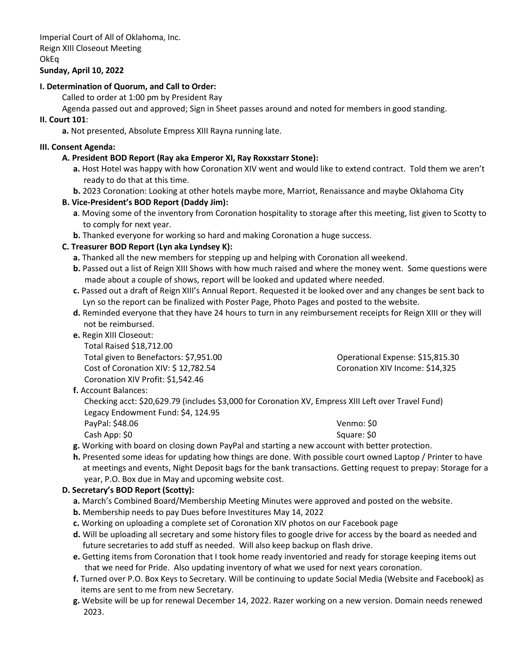Imperial Court of All of Oklahoma, Inc. Reign XIII Closeout Meeting OkEq

### **Sunday, April 10, 2022**

### **I. Determination of Quorum, and Call to Order:**

Called to order at 1:00 pm by President Ray

Agenda passed out and approved; Sign in Sheet passes around and noted for members in good standing.

#### **II. Court 101**:

**a.** Not presented, Absolute Empress XIII Rayna running late.

#### **III. Consent Agenda:**

#### **A. President BOD Report (Ray aka Emperor XI, Ray Roxxstarr Stone):**

- **a.** Host Hotel was happy with how Coronation XIV went and would like to extend contract. Told them we aren't ready to do that at this time.
- **b.** 2023 Coronation: Looking at other hotels maybe more, Marriot, Renaissance and maybe Oklahoma City

### **B. Vice-President's BOD Report (Daddy Jim):**

- **a**. Moving some of the inventory from Coronation hospitality to storage after this meeting, list given to Scotty to to comply for next year.
- **b.** Thanked everyone for working so hard and making Coronation a huge success.

### **C. Treasurer BOD Report (Lyn aka Lyndsey K):**

- **a.** Thanked all the new members for stepping up and helping with Coronation all weekend.
- **b.** Passed out a list of Reign XIII Shows with how much raised and where the money went. Some questions were made about a couple of shows, report will be looked and updated where needed.
- **c.** Passed out a draft of Reign XIII's Annual Report. Requested it be looked over and any changes be sent back to Lyn so the report can be finalized with Poster Page, Photo Pages and posted to the website.
- **d.** Reminded everyone that they have 24 hours to turn in any reimbursement receipts for Reign XIII or they will not be reimbursed.
- **e.** Regin XIII Closeout:

Total Raised \$18,712.00 Total given to Benefactors: \$7,951.00 Operational Expense: \$15,815.30 Cost of Coronation XIV: \$ 12,782.54 Coronation XIV Income: \$14,325 Coronation XIV Profit: \$1,542.46

**f.** Account Balances:

Checking acct: \$20,629.79 (includes \$3,000 for Coronation XV, Empress XIII Left over Travel Fund) Legacy Endowment Fund: \$4, 124.95

- PayPal: \$48.06 Venmo: \$0 Cash App: \$0 Square: \$0
- **g.** Working with board on closing down PayPal and starting a new account with better protection.
- **h.** Presented some ideas for updating how things are done. With possible court owned Laptop / Printer to have at meetings and events, Night Deposit bags for the bank transactions. Getting request to prepay: Storage for a year, P.O. Box due in May and upcoming website cost.

#### **D. Secretary's BOD Report (Scotty):**

- **a.** March's Combined Board/Membership Meeting Minutes were approved and posted on the website.
- **b.** Membership needs to pay Dues before Investitures May 14, 2022
- **c.** Working on uploading a complete set of Coronation XIV photos on our Facebook page
- **d.** Will be uploading all secretary and some history files to google drive for access by the board as needed and future secretaries to add stuff as needed. Will also keep backup on flash drive.
- **e.** Getting items from Coronation that I took home ready inventoried and ready for storage keeping items out that we need for Pride. Also updating inventory of what we used for next years coronation.
- **f.** Turned over P.O. Box Keys to Secretary. Will be continuing to update Social Media (Website and Facebook) as items are sent to me from new Secretary.
- **g.** Website will be up for renewal December 14, 2022. Razer working on a new version. Domain needs renewed 2023.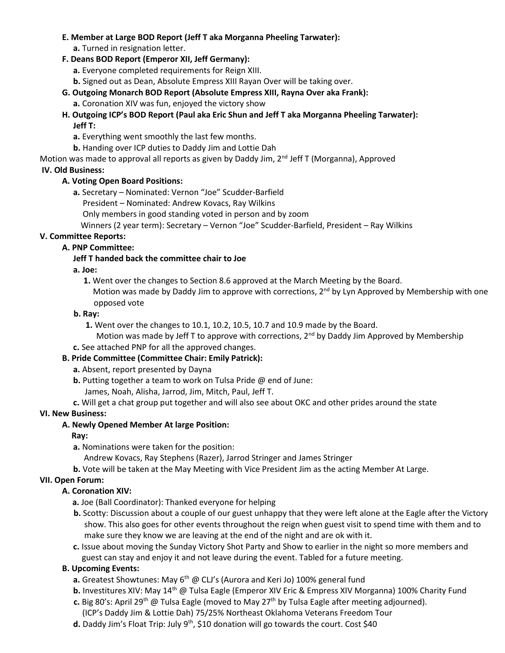### **E. Member at Large BOD Report (Jeff T aka Morganna Pheeling Tarwater):**

**a.** Turned in resignation letter.

### **F. Deans BOD Report (Emperor XII, Jeff Germany):**

**a.** Everyone completed requirements for Reign XIII.

**b.** Signed out as Dean, Absolute Empress XIII Rayan Over will be taking over.

- **G. Outgoing Monarch BOD Report (Absolute Empress XIII, Rayna Over aka Frank):**
	- **a.** Coronation XIV was fun, enjoyed the victory show

## **H. Outgoing ICP's BOD Report (Paul aka Eric Shun and Jeff T aka Morganna Pheeling Tarwater): Jeff T:**

**a.** Everything went smoothly the last few months.

**b.** Handing over ICP duties to Daddy Jim and Lottie Dah

Motion was made to approval all reports as given by Daddy Jim, 2<sup>nd</sup> Jeff T (Morganna), Approved

## **IV. Old Business:**

## **A. Voting Open Board Positions:**

**a.** Secretary – Nominated: Vernon "Joe" Scudder-Barfield

President – Nominated: Andrew Kovacs, Ray Wilkins

Only members in good standing voted in person and by zoom

Winners (2 year term): Secretary – Vernon "Joe" Scudder-Barfield, President – Ray Wilkins

## **V. Committee Reports:**

# **A. PNP Committee:**

## **Jeff T handed back the committee chair to Joe**

## **a. Joe:**

 **1.** Went over the changes to Section 8.6 approved at the March Meeting by the Board. Motion was made by Daddy Jim to approve with corrections, 2<sup>nd</sup> by Lyn Approved by Membership with one opposed vote

## **b. Ray:**

- **1.** Went over the changes to 10.1, 10.2, 10.5, 10.7 and 10.9 made by the Board.
- Motion was made by Jeff T to approve with corrections,  $2<sup>nd</sup>$  by Daddy Jim Approved by Membership
- **c.** See attached PNP for all the approved changes.

# **B. Pride Committee (Committee Chair: Emily Patrick):**

- **a.** Absent, report presented by Dayna
- **b.** Putting together a team to work on Tulsa Pride @ end of June:
	- James, Noah, Alisha, Jarrod, Jim, Mitch, Paul, Jeff T.
- **c.** Will get a chat group put together and will also see about OKC and other prides around the state

# **VI. New Business:**

# **A. Newly Opened Member At large Position:**

## **Ray:**

**a.** Nominations were taken for the position:

Andrew Kovacs, Ray Stephens (Razer), Jarrod Stringer and James Stringer

**b.** Vote will be taken at the May Meeting with Vice President Jim as the acting Member At Large.

# **VII. Open Forum:**

# **A. Coronation XIV:**

- **a.** Joe (Ball Coordinator): Thanked everyone for helping
- **b.** Scotty: Discussion about a couple of our guest unhappy that they were left alone at the Eagle after the Victory show. This also goes for other events throughout the reign when guest visit to spend time with them and to make sure they know we are leaving at the end of the night and are ok with it.
- **c.** Issue about moving the Sunday Victory Shot Party and Show to earlier in the night so more members and guest can stay and enjoy it and not leave during the event. Tabled for a future meeting.

# **B. Upcoming Events:**

- **a.** Greatest Showtunes: May 6<sup>th</sup> @ CLJ's (Aurora and Keri Jo) 100% general fund
- **b.** Investitures XIV: May 14<sup>th</sup> @ Tulsa Eagle (Emperor XIV Eric & Empress XIV Morganna) 100% Charity Fund
- c. Big 80's: April 29<sup>th</sup> @ Tulsa Eagle (moved to May 27<sup>th</sup> by Tulsa Eagle after meeting adjourned).
	- (ICP's Daddy Jim & Lottie Dah) 75/25% Northeast Oklahoma Veterans Freedom Tour
- d. Daddy Jim's Float Trip: July 9<sup>th</sup>, \$10 donation will go towards the court. Cost \$40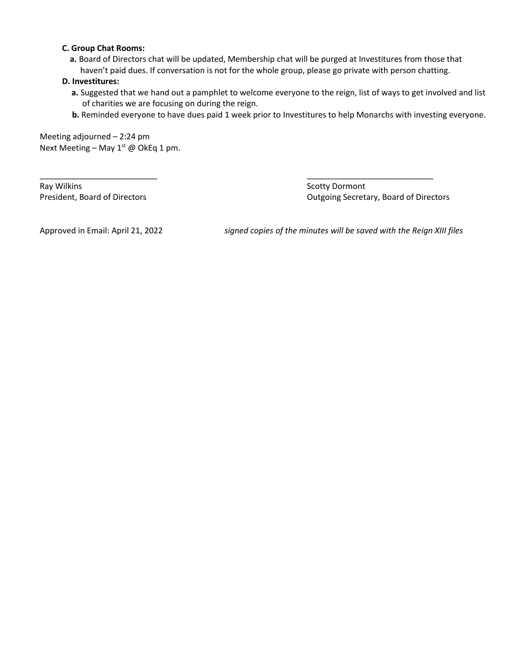#### **C. Group Chat Rooms:**

 **a.** Board of Directors chat will be updated, Membership chat will be purged at Investitures from those that haven't paid dues. If conversation is not for the whole group, please go private with person chatting.

\_\_\_\_\_\_\_\_\_\_\_\_\_\_\_\_\_\_\_\_\_\_\_\_\_\_ \_\_\_\_\_\_\_\_\_\_\_\_\_\_\_\_\_\_\_\_\_\_\_\_\_\_\_\_

### **D. Investitures:**

- **a.** Suggested that we hand out a pamphlet to welcome everyone to the reign, list of ways to get involved and list of charities we are focusing on during the reign.
- **b.** Reminded everyone to have dues paid 1 week prior to Investitures to help Monarchs with investing everyone.

Meeting adjourned – 2:24 pm Next Meeting - May  $1^{st}$  @ OkEq 1 pm.

Ray Wilkins **Scotty Dormont** 

President, Board of Directors **Contains a Container Secretary, Board of Directors** Cutgoing Secretary, Board of Directors

Approved in Email: April 21, 2022 *signed copies of the minutes will be saved with the Reign XIII files*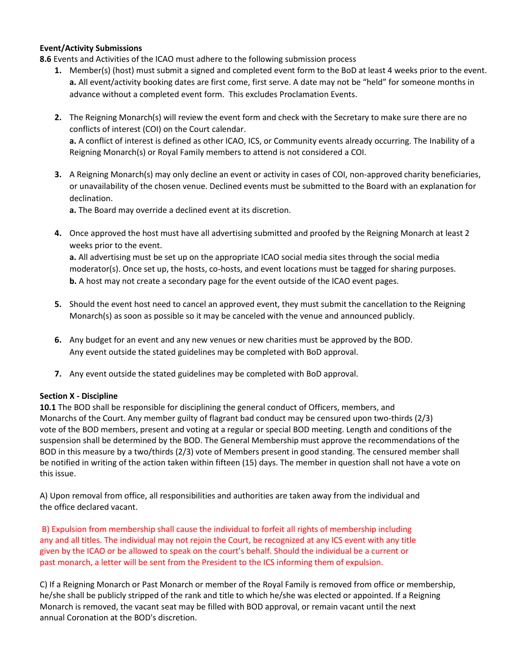### **Event/Activity Submissions**

**8.6** Events and Activities of the ICAO must adhere to the following submission process

- **1.** Member(s) (host) must submit a signed and completed event form to the BoD at least 4 weeks prior to the event. **a.** All event/activity booking dates are first come, first serve. A date may not be "held" for someone months in advance without a completed event form. This excludes Proclamation Events.
- **2.** The Reigning Monarch(s) will review the event form and check with the Secretary to make sure there are no conflicts of interest (COI) on the Court calendar. **a.** A conflict of interest is defined as other ICAO, ICS, or Community events already occurring. The Inability of a Reigning Monarch(s) or Royal Family members to attend is not considered a COI.
- **3.** A Reigning Monarch(s) may only decline an event or activity in cases of COI, non-approved charity beneficiaries, or unavailability of the chosen venue. Declined events must be submitted to the Board with an explanation for declination.

**a.** The Board may override a declined event at its discretion.

**4.** Once approved the host must have all advertising submitted and proofed by the Reigning Monarch at least 2 weeks prior to the event.

**a.** All advertising must be set up on the appropriate ICAO social media sites through the social media moderator(s). Once set up, the hosts, co-hosts, and event locations must be tagged for sharing purposes. **b.** A host may not create a secondary page for the event outside of the ICAO event pages.

- **5.** Should the event host need to cancel an approved event, they must submit the cancellation to the Reigning Monarch(s) as soon as possible so it may be canceled with the venue and announced publicly.
- **6.** Any budget for an event and any new venues or new charities must be approved by the BOD. Any event outside the stated guidelines may be completed with BoD approval.
- **7.** Any event outside the stated guidelines may be completed with BoD approval.

#### **Section X - Discipline**

**10.1** The BOD shall be responsible for disciplining the general conduct of Officers, members, and Monarchs of the Court. Any member guilty of flagrant bad conduct may be censured upon two-thirds (2/3) vote of the BOD members, present and voting at a regular or special BOD meeting. Length and conditions of the suspension shall be determined by the BOD. The General Membership must approve the recommendations of the BOD in this measure by a two/thirds (2/3) vote of Members present in good standing. The censured member shall be notified in writing of the action taken within fifteen (15) days. The member in question shall not have a vote on this issue.

A) Upon removal from office, all responsibilities and authorities are taken away from the individual and the office declared vacant.

B) Expulsion from membership shall cause the individual to forfeit all rights of membership including any and all titles. The individual may not rejoin the Court, be recognized at any ICS event with any title given by the ICAO or be allowed to speak on the court's behalf. Should the individual be a current or past monarch, a letter will be sent from the President to the ICS informing them of expulsion.

C) If a Reigning Monarch or Past Monarch or member of the Royal Family is removed from office or membership, he/she shall be publicly stripped of the rank and title to which he/she was elected or appointed. If a Reigning Monarch is removed, the vacant seat may be filled with BOD approval, or remain vacant until the next annual Coronation at the BOD's discretion.